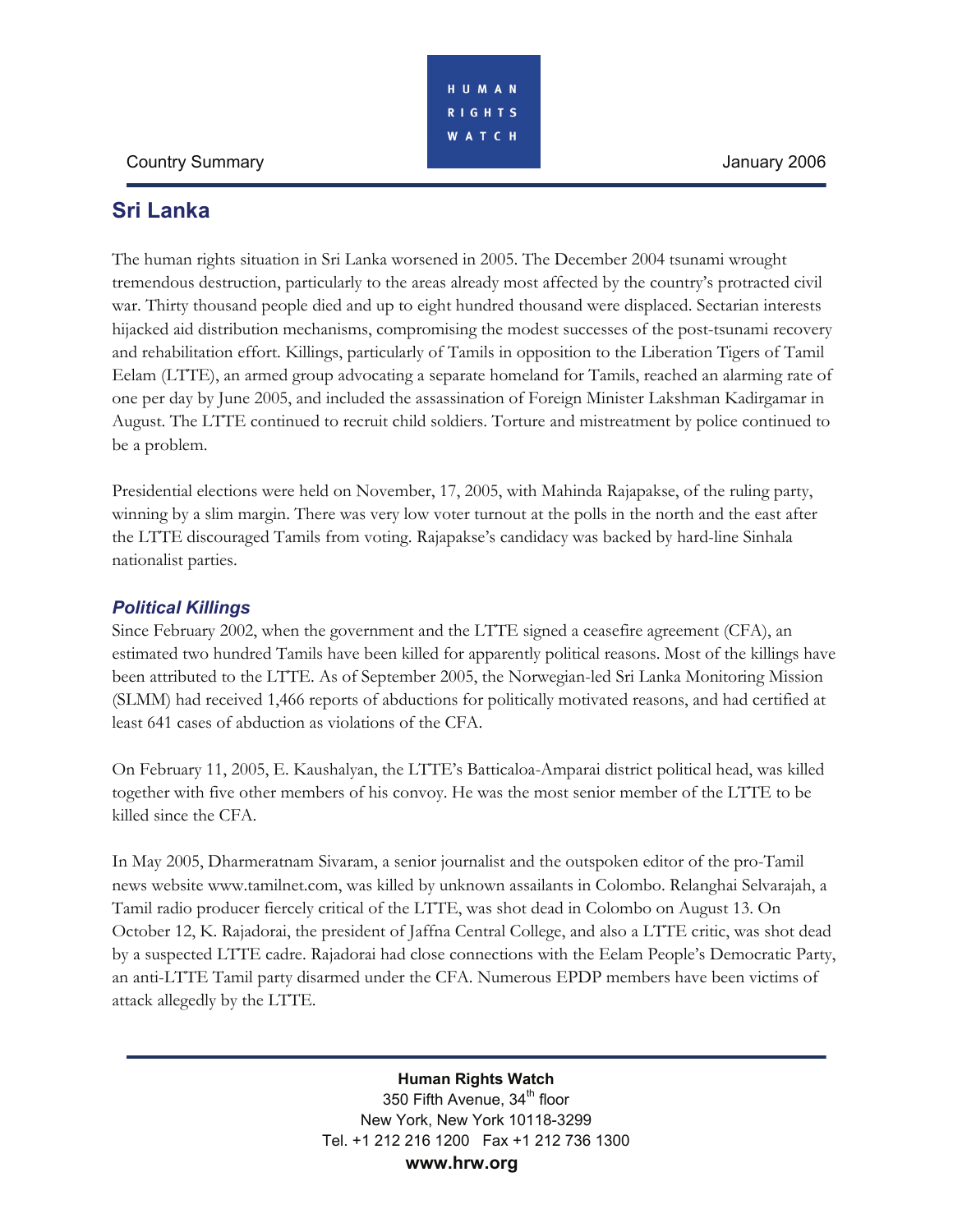**HUMAN RIGHTS** W A T C H

## Country Summary January 2006

# **Sri Lanka**

The human rights situation in Sri Lanka worsened in 2005. The December 2004 tsunami wrought tremendous destruction, particularly to the areas already most affected by the country's protracted civil war. Thirty thousand people died and up to eight hundred thousand were displaced. Sectarian interests hijacked aid distribution mechanisms, compromising the modest successes of the post-tsunami recovery and rehabilitation effort. Killings, particularly of Tamils in opposition to the Liberation Tigers of Tamil Eelam (LTTE), an armed group advocating a separate homeland for Tamils, reached an alarming rate of one per day by June 2005, and included the assassination of Foreign Minister Lakshman Kadirgamar in August. The LTTE continued to recruit child soldiers. Torture and mistreatment by police continued to be a problem.

Presidential elections were held on November, 17, 2005, with Mahinda Rajapakse, of the ruling party, winning by a slim margin. There was very low voter turnout at the polls in the north and the east after the LTTE discouraged Tamils from voting. Rajapakse's candidacy was backed by hard-line Sinhala nationalist parties.

#### *Political Killings*

Since February 2002, when the government and the LTTE signed a ceasefire agreement (CFA), an estimated two hundred Tamils have been killed for apparently political reasons. Most of the killings have been attributed to the LTTE. As of September 2005, the Norwegian-led Sri Lanka Monitoring Mission (SLMM) had received 1,466 reports of abductions for politically motivated reasons, and had certified at least 641 cases of abduction as violations of the CFA.

On February 11, 2005, E. Kaushalyan, the LTTE's Batticaloa-Amparai district political head, was killed together with five other members of his convoy. He was the most senior member of the LTTE to be killed since the CFA.

In May 2005, Dharmeratnam Sivaram, a senior journalist and the outspoken editor of the pro-Tamil news website www.tamilnet.com, was killed by unknown assailants in Colombo. Relanghai Selvarajah, a Tamil radio producer fiercely critical of the LTTE, was shot dead in Colombo on August 13. On October 12, K. Rajadorai, the president of Jaffna Central College, and also a LTTE critic, was shot dead by a suspected LTTE cadre. Rajadorai had close connections with the Eelam People's Democratic Party, an anti-LTTE Tamil party disarmed under the CFA. Numerous EPDP members have been victims of attack allegedly by the LTTE.

> **Human Rights Watch**  350 Fifth Avenue, 34<sup>th</sup> floor New York, New York 10118-3299 Tel. +1 212 216 1200 Fax +1 212 736 1300  **www.hrw.org**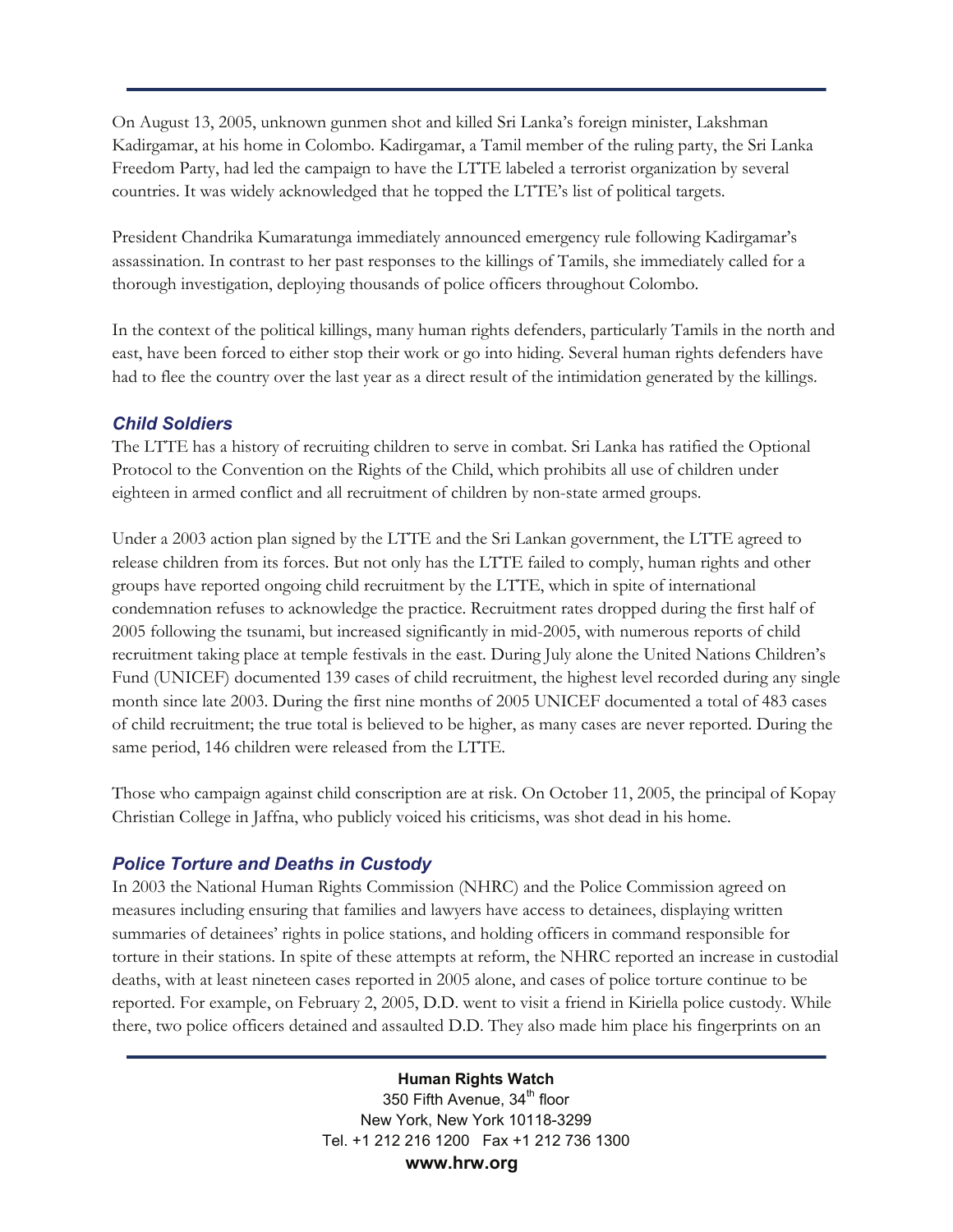On August 13, 2005, unknown gunmen shot and killed Sri Lanka's foreign minister, Lakshman Kadirgamar, at his home in Colombo. Kadirgamar, a Tamil member of the ruling party, the Sri Lanka Freedom Party, had led the campaign to have the LTTE labeled a terrorist organization by several countries. It was widely acknowledged that he topped the LTTE's list of political targets.

President Chandrika Kumaratunga immediately announced emergency rule following Kadirgamar's assassination. In contrast to her past responses to the killings of Tamils, she immediately called for a thorough investigation, deploying thousands of police officers throughout Colombo.

In the context of the political killings, many human rights defenders, particularly Tamils in the north and east, have been forced to either stop their work or go into hiding. Several human rights defenders have had to flee the country over the last year as a direct result of the intimidation generated by the killings.

## *Child Soldiers*

The LTTE has a history of recruiting children to serve in combat. Sri Lanka has ratified the Optional Protocol to the Convention on the Rights of the Child, which prohibits all use of children under eighteen in armed conflict and all recruitment of children by non-state armed groups.

Under a 2003 action plan signed by the LTTE and the Sri Lankan government, the LTTE agreed to release children from its forces. But not only has the LTTE failed to comply, human rights and other groups have reported ongoing child recruitment by the LTTE, which in spite of international condemnation refuses to acknowledge the practice. Recruitment rates dropped during the first half of 2005 following the tsunami, but increased significantly in mid-2005, with numerous reports of child recruitment taking place at temple festivals in the east. During July alone the United Nations Children's Fund (UNICEF) documented 139 cases of child recruitment, the highest level recorded during any single month since late 2003. During the first nine months of 2005 UNICEF documented a total of 483 cases of child recruitment; the true total is believed to be higher, as many cases are never reported. During the same period, 146 children were released from the LTTE.

Those who campaign against child conscription are at risk. On October 11, 2005, the principal of Kopay Christian College in Jaffna, who publicly voiced his criticisms, was shot dead in his home.

## *Police Torture and Deaths in Custody*

In 2003 the National Human Rights Commission (NHRC) and the Police Commission agreed on measures including ensuring that families and lawyers have access to detainees, displaying written summaries of detainees' rights in police stations, and holding officers in command responsible for torture in their stations. In spite of these attempts at reform, the NHRC reported an increase in custodial deaths, with at least nineteen cases reported in 2005 alone, and cases of police torture continue to be reported. For example, on February 2, 2005, D.D. went to visit a friend in Kiriella police custody. While there, two police officers detained and assaulted D.D. They also made him place his fingerprints on an

> **Human Rights Watch**  350 Fifth Avenue, 34<sup>th</sup> floor New York, New York 10118-3299 Tel. +1 212 216 1200 Fax +1 212 736 1300  **www.hrw.org**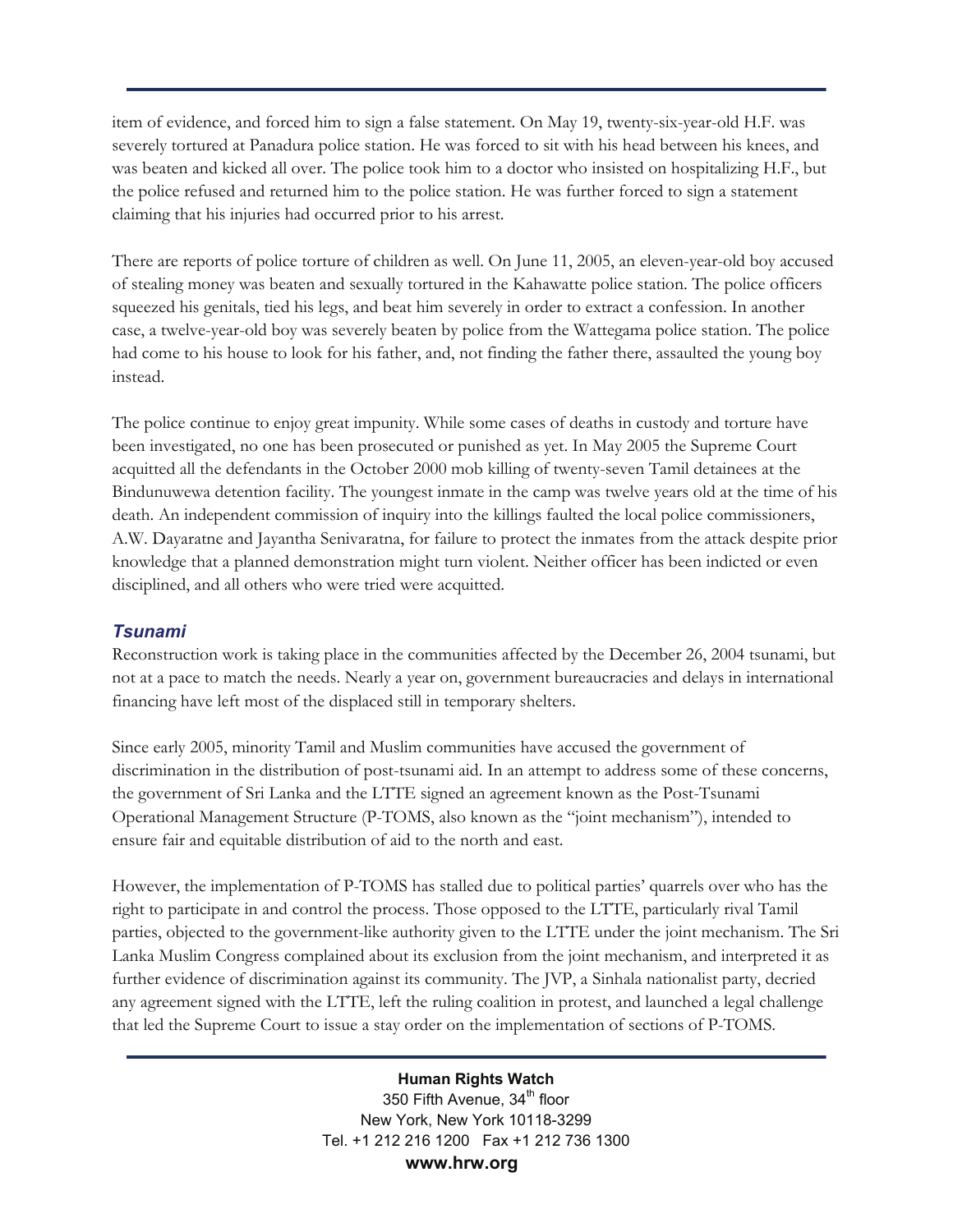item of evidence, and forced him to sign a false statement. On May 19, twenty-six-year-old H.F. was severely tortured at Panadura police station. He was forced to sit with his head between his knees, and was beaten and kicked all over. The police took him to a doctor who insisted on hospitalizing H.F., but the police refused and returned him to the police station. He was further forced to sign a statement claiming that his injuries had occurred prior to his arrest.

There are reports of police torture of children as well. On June 11, 2005, an eleven-year-old boy accused of stealing money was beaten and sexually tortured in the Kahawatte police station. The police officers squeezed his genitals, tied his legs, and beat him severely in order to extract a confession. In another case, a twelve-year-old boy was severely beaten by police from the Wattegama police station. The police had come to his house to look for his father, and, not finding the father there, assaulted the young boy instead.

The police continue to enjoy great impunity. While some cases of deaths in custody and torture have been investigated, no one has been prosecuted or punished as yet. In May 2005 the Supreme Court acquitted all the defendants in the October 2000 mob killing of twenty-seven Tamil detainees at the Bindunuwewa detention facility. The youngest inmate in the camp was twelve years old at the time of his death. An independent commission of inquiry into the killings faulted the local police commissioners, A.W. Dayaratne and Jayantha Senivaratna, for failure to protect the inmates from the attack despite prior knowledge that a planned demonstration might turn violent. Neither officer has been indicted or even disciplined, and all others who were tried were acquitted.

## *Tsunami*

Reconstruction work is taking place in the communities affected by the December 26, 2004 tsunami, but not at a pace to match the needs. Nearly a year on, government bureaucracies and delays in international financing have left most of the displaced still in temporary shelters.

Since early 2005, minority Tamil and Muslim communities have accused the government of discrimination in the distribution of post-tsunami aid. In an attempt to address some of these concerns, the government of Sri Lanka and the LTTE signed an agreement known as the Post-Tsunami Operational Management Structure (P-TOMS, also known as the "joint mechanism"), intended to ensure fair and equitable distribution of aid to the north and east.

However, the implementation of P-TOMS has stalled due to political parties' quarrels over who has the right to participate in and control the process. Those opposed to the LTTE, particularly rival Tamil parties, objected to the government-like authority given to the LTTE under the joint mechanism. The Sri Lanka Muslim Congress complained about its exclusion from the joint mechanism, and interpreted it as further evidence of discrimination against its community. The JVP, a Sinhala nationalist party, decried any agreement signed with the LTTE, left the ruling coalition in protest, and launched a legal challenge that led the Supreme Court to issue a stay order on the implementation of sections of P-TOMS.

> **Human Rights Watch**  350 Fifth Avenue, 34<sup>th</sup> floor New York, New York 10118-3299 Tel. +1 212 216 1200 Fax +1 212 736 1300  **www.hrw.org**